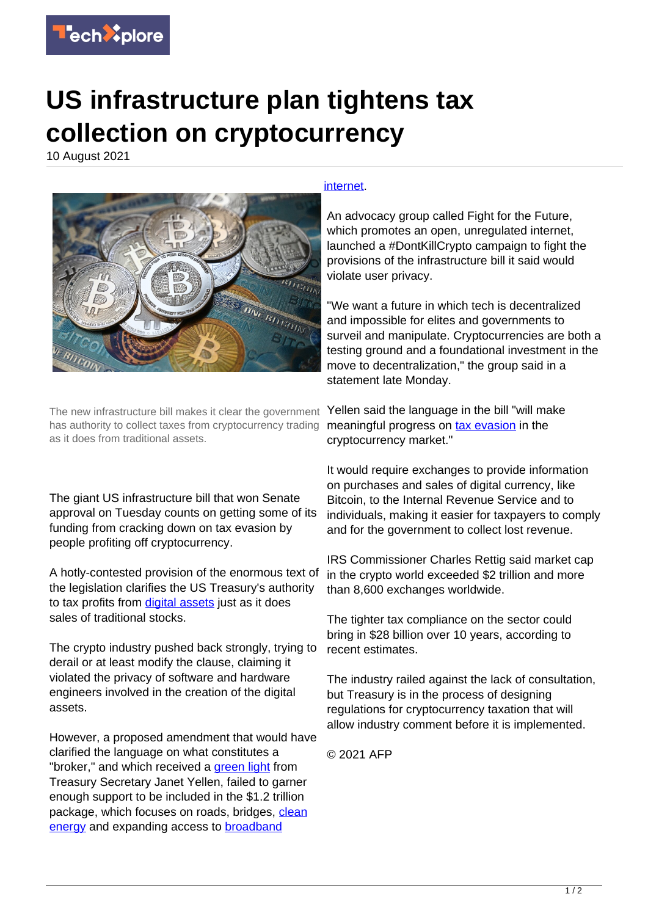

## **US infrastructure plan tightens tax collection on cryptocurrency**

10 August 2021



The new infrastructure bill makes it clear the government Yellen said the language in the bill "will make has authority to collect taxes from cryptocurrency trading as it does from traditional assets.

The giant US infrastructure bill that won Senate approval on Tuesday counts on getting some of its funding from cracking down on tax evasion by people profiting off cryptocurrency.

A hotly-contested provision of the enormous text of the legislation clarifies the US Treasury's authority to tax profits from [digital assets](https://techxplore.com/tags/digital+assets/) just as it does sales of traditional stocks.

The crypto industry pushed back strongly, trying to derail or at least modify the clause, claiming it violated the privacy of software and hardware engineers involved in the creation of the digital assets.

However, a proposed amendment that would have clarified the language on what constitutes a "broker," and which received a [green light](https://techxplore.com/tags/green+light/) from Treasury Secretary Janet Yellen, failed to garner enough support to be included in the \$1.2 trillion package, which focuses on roads, bridges, [clean](https://techxplore.com/tags/clean+energy/) [energy](https://techxplore.com/tags/clean+energy/) and expanding access to [broadband](https://techxplore.com/tags/broadband+internet/)

## [internet](https://techxplore.com/tags/broadband+internet/).

An advocacy group called Fight for the Future, which promotes an open, unregulated internet, launched a #DontKillCrypto campaign to fight the provisions of the infrastructure bill it said would violate user privacy.

"We want a future in which tech is decentralized and impossible for elites and governments to surveil and manipulate. Cryptocurrencies are both a testing ground and a foundational investment in the move to decentralization," the group said in a statement late Monday.

meaningful progress on [tax evasion](https://techxplore.com/tags/tax+evasion/) in the cryptocurrency market."

It would require exchanges to provide information on purchases and sales of digital currency, like Bitcoin, to the Internal Revenue Service and to individuals, making it easier for taxpayers to comply and for the government to collect lost revenue.

IRS Commissioner Charles Rettig said market cap in the crypto world exceeded \$2 trillion and more than 8,600 exchanges worldwide.

The tighter tax compliance on the sector could bring in \$28 billion over 10 years, according to recent estimates.

The industry railed against the lack of consultation, but Treasury is in the process of designing regulations for cryptocurrency taxation that will allow industry comment before it is implemented.

© 2021 AFP